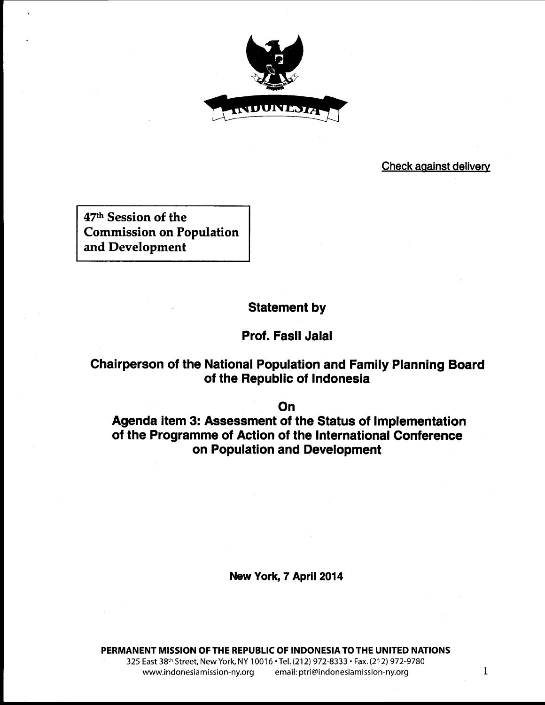

### **Check against delivery**

**47th Session of the Commission on Population and Development**

# **Statement by**

## **Prof. Fasli Jalal**

# **Chairperson of the National Population and Family Planning Board of the Republic of Indonesia**

**On**

**Agenda item 3: Assessment of the Status of Implementation of the Programme of Action of the International Conference on Population and Development**

**New York, 7 April 2014**

**PERMANENT MISSION OF THE REPUBLIC OF INDONESIA TO THE UNITED NATIONS** 325 East 38th Street, New York, NY 10016 • Tel. (212) 972-8333 • Fax. (212) 972-9780 www.indonesiamission-ny.org email: ptri@indonesiamission-ny.org 1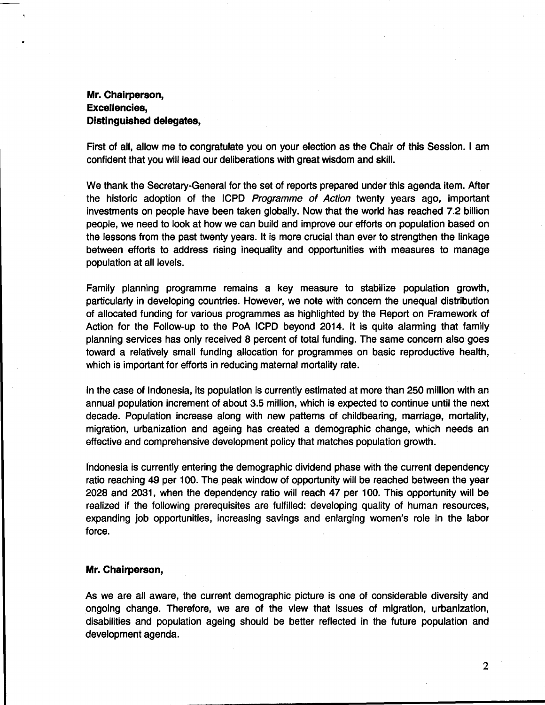### **Mr. Chairperson, Excellencies, Distinguished delegates,**

**First of all, allow me to congratulate you on your election as the Chair of this Session. I am confident that you will lead our deliberations with great wisdom and skill.**

**We thank the Secretary-General for the set of reports prepared under this agenda item. After the historic adoption of the ICPD** *Programme of Action* **twenty years ago, important investments on people have been taken globally. Now that the world has reached 7.2 billion people, we need to look at how we can build and improve our efforts on population based on the lessons from the past twenty years. It is more crucial than ever to strengthen the linkage between efforts to address rising inequality and opportunities with measures to manage population at all levels.**

**Family planning programme remains a key measure to stabilize population growth, particularly in developing countries. However, we note with concern the unequal distribution of allocated funding for various programmes as highlighted by the Report on Framework of Action for the Follow-up to the PoA ICPD beyond 2014. It is quite alarming that family planning services has only received 8 percent of total funding. The same concern also goes toward a relatively small funding allocation for programmes on basic reproductive health, which is important for efforts in reducing maternal mortality rate.**

**In the case of Indonesia, its population is currently estimated at more than 250 million with an annual population increment of about 3.5 million, which is expected to continue until the next decade. Population increase along with new patterns of childbearing, marriage, mortality, migration, urbanization and ageing has created a demographic change, which needs an effective and comprehensive development policy that matches population growth.**

**Indonesia is currently entering the demographic dividend phase with the current dependency ratio reaching 49 per 100. The peak window of opportunity will be reached between the year 2028 and 2031, when the dependency ratio will reach 47 per 100. This opportunity will be realized if the following prerequisites are fulfilled: developing quality of human resources, expanding job opportunities, increasing savings and enlarging women's role in the labor force.**

#### **Mr. Chairperson,**

**As we are all aware, the current demographic picture is one of considerable diversity and ongoing change. Therefore, we are of the view that issues of migration, urbanization, disabilities and population ageing should be better reflected in the future population and development agenda.**